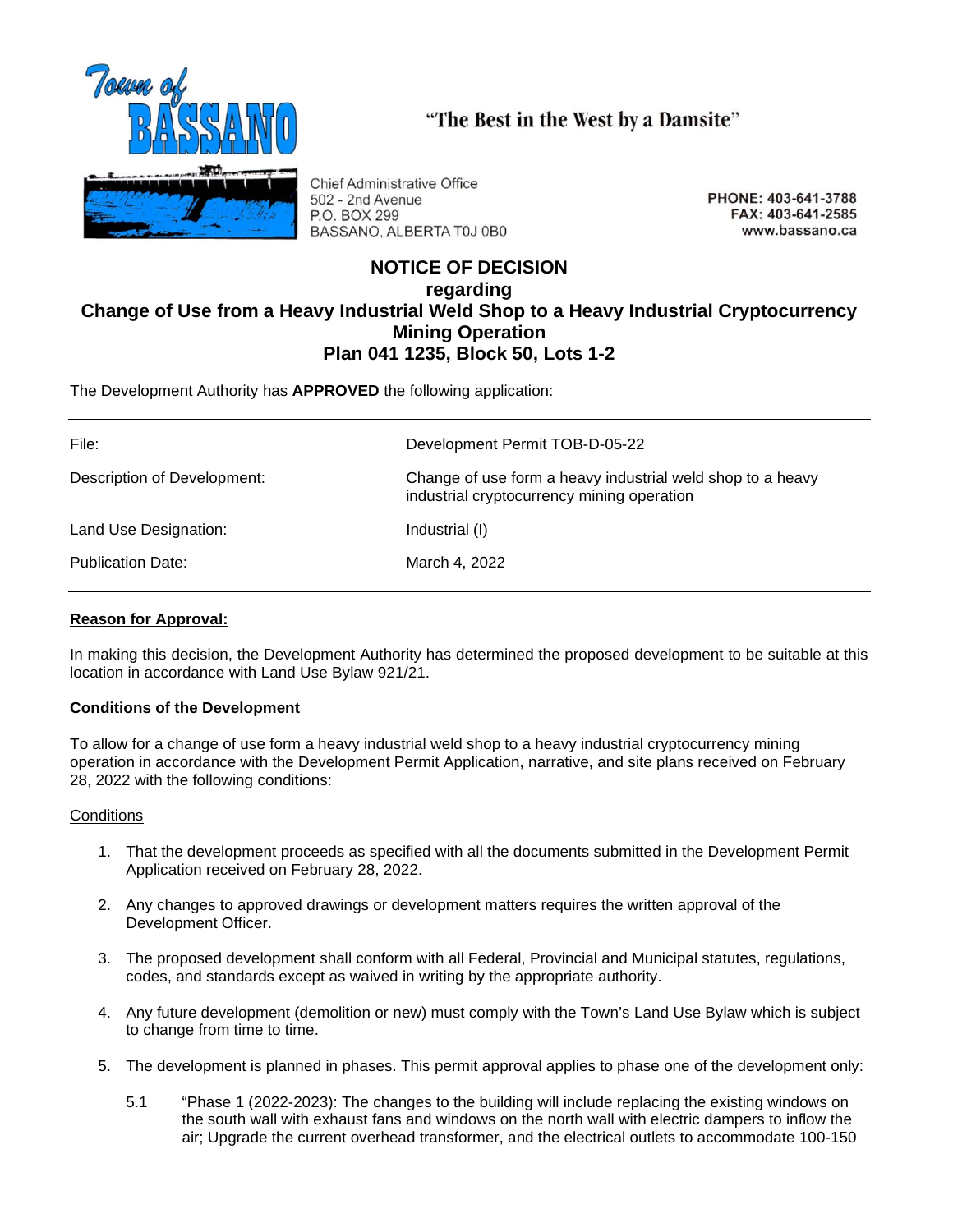

"The Best in the West by a Damsite"

**Chief Administrative Office** 502 - 2nd Avenue P.O. BOX 299 BASSANO, ALBERTA T0J 0B0

PHONE: 403-641-3788 FAX: 403-641-2585 www.bassano.ca

# **NOTICE OF DECISION regarding Change of Use from a Heavy Industrial Weld Shop to a Heavy Industrial Cryptocurrency Mining Operation Plan 041 1235, Block 50, Lots 1-2**

The Development Authority has **APPROVED** the following application:

| File:                       | Development Permit TOB-D-05-22                                                                           |
|-----------------------------|----------------------------------------------------------------------------------------------------------|
| Description of Development: | Change of use form a heavy industrial weld shop to a heavy<br>industrial cryptocurrency mining operation |
| Land Use Designation:       | Industrial (I)                                                                                           |
| <b>Publication Date:</b>    | March 4, 2022                                                                                            |

## **Reason for Approval:**

In making this decision, the Development Authority has determined the proposed development to be suitable at this location in accordance with Land Use Bylaw 921/21.

## **Conditions of the Development**

To allow for a change of use form a heavy industrial weld shop to a heavy industrial cryptocurrency mining operation in accordance with the Development Permit Application, narrative, and site plans received on February 28, 2022 with the following conditions:

## **Conditions**

- 1. That the development proceeds as specified with all the documents submitted in the Development Permit Application received on February 28, 2022.
- 2. Any changes to approved drawings or development matters requires the written approval of the Development Officer.
- 3. The proposed development shall conform with all Federal, Provincial and Municipal statutes, regulations, codes, and standards except as waived in writing by the appropriate authority.
- 4. Any future development (demolition or new) must comply with the Town's Land Use Bylaw which is subject to change from time to time.
- 5. The development is planned in phases. This permit approval applies to phase one of the development only:
	- 5.1 "Phase 1 (2022-2023): The changes to the building will include replacing the existing windows on the south wall with exhaust fans and windows on the north wall with electric dampers to inflow the air; Upgrade the current overhead transformer, and the electrical outlets to accommodate 100-150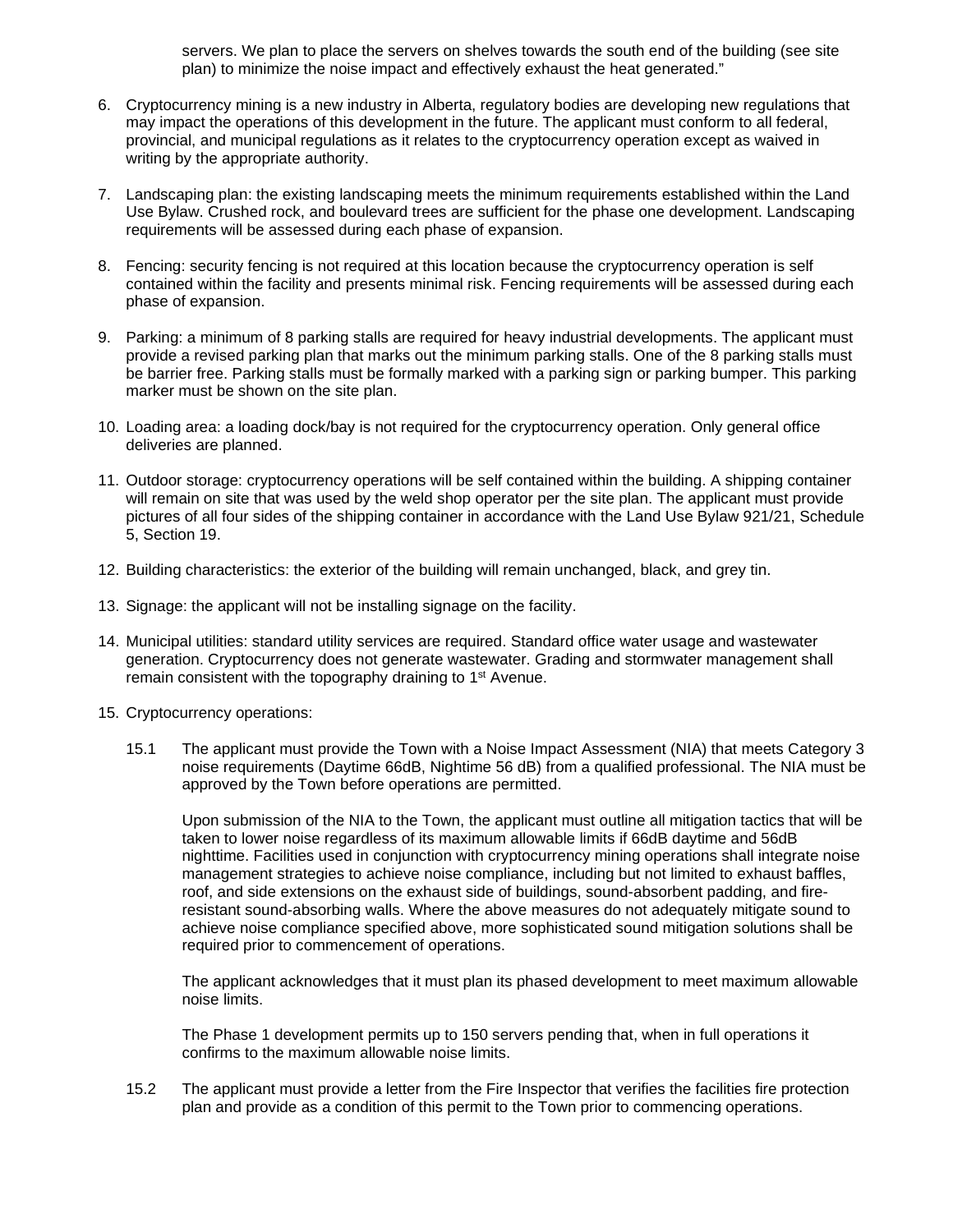servers. We plan to place the servers on shelves towards the south end of the building (see site plan) to minimize the noise impact and effectively exhaust the heat generated."

- 6. Cryptocurrency mining is a new industry in Alberta, regulatory bodies are developing new regulations that may impact the operations of this development in the future. The applicant must conform to all federal, provincial, and municipal regulations as it relates to the cryptocurrency operation except as waived in writing by the appropriate authority.
- 7. Landscaping plan: the existing landscaping meets the minimum requirements established within the Land Use Bylaw. Crushed rock, and boulevard trees are sufficient for the phase one development. Landscaping requirements will be assessed during each phase of expansion.
- 8. Fencing: security fencing is not required at this location because the cryptocurrency operation is self contained within the facility and presents minimal risk. Fencing requirements will be assessed during each phase of expansion.
- 9. Parking: a minimum of 8 parking stalls are required for heavy industrial developments. The applicant must provide a revised parking plan that marks out the minimum parking stalls. One of the 8 parking stalls must be barrier free. Parking stalls must be formally marked with a parking sign or parking bumper. This parking marker must be shown on the site plan.
- 10. Loading area: a loading dock/bay is not required for the cryptocurrency operation. Only general office deliveries are planned.
- 11. Outdoor storage: cryptocurrency operations will be self contained within the building. A shipping container will remain on site that was used by the weld shop operator per the site plan. The applicant must provide pictures of all four sides of the shipping container in accordance with the Land Use Bylaw 921/21, Schedule 5, Section 19.
- 12. Building characteristics: the exterior of the building will remain unchanged, black, and grey tin.
- 13. Signage: the applicant will not be installing signage on the facility.
- 14. Municipal utilities: standard utility services are required. Standard office water usage and wastewater generation. Cryptocurrency does not generate wastewater. Grading and stormwater management shall remain consistent with the topography draining to 1<sup>st</sup> Avenue.
- 15. Cryptocurrency operations:
	- 15.1 The applicant must provide the Town with a Noise Impact Assessment (NIA) that meets Category 3 noise requirements (Daytime 66dB, Nightime 56 dB) from a qualified professional. The NIA must be approved by the Town before operations are permitted.

Upon submission of the NIA to the Town, the applicant must outline all mitigation tactics that will be taken to lower noise regardless of its maximum allowable limits if 66dB daytime and 56dB nighttime. Facilities used in conjunction with cryptocurrency mining operations shall integrate noise management strategies to achieve noise compliance, including but not limited to exhaust baffles, roof, and side extensions on the exhaust side of buildings, sound-absorbent padding, and fireresistant sound-absorbing walls. Where the above measures do not adequately mitigate sound to achieve noise compliance specified above, more sophisticated sound mitigation solutions shall be required prior to commencement of operations.

The applicant acknowledges that it must plan its phased development to meet maximum allowable noise limits.

The Phase 1 development permits up to 150 servers pending that, when in full operations it confirms to the maximum allowable noise limits.

15.2 The applicant must provide a letter from the Fire Inspector that verifies the facilities fire protection plan and provide as a condition of this permit to the Town prior to commencing operations.